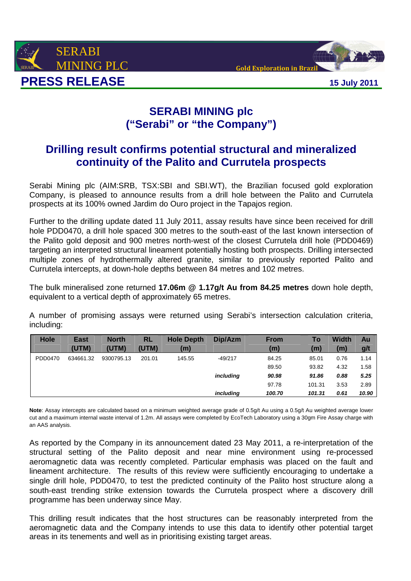



## **SERABI MINING plc ("Serabi" or "the Company")**

# **Drilling result confirms potential structural and mineralized continuity of the Palito and Currutela prospects**

Serabi Mining plc (AIM:SRB, TSX:SBI and SBI.WT), the Brazilian focused gold exploration Company, is pleased to announce results from a drill hole between the Palito and Currutela prospects at its 100% owned Jardim do Ouro project in the Tapajos region.

Further to the drilling update dated 11 July 2011, assay results have since been received for drill hole PDD0470, a drill hole spaced 300 metres to the south-east of the last known intersection of the Palito gold deposit and 900 metres north-west of the closest Currutela drill hole (PDD0469) targeting an interpreted structural lineament potentially hosting both prospects. Drilling intersected multiple zones of hydrothermally altered granite, similar to previously reported Palito and Currutela intercepts, at down-hole depths between 84 metres and 102 metres.

The bulk mineralised zone returned **17.06m @ 1.17g/t Au from 84.25 metres** down hole depth, equivalent to a vertical depth of approximately 65 metres.

A number of promising assays were returned using Serabi's intersection calculation criteria, including:

| <b>Hole</b> | <b>East</b> | <b>North</b> | RL     | <b>Hole Depth</b> | Dip/Azm   | <b>From</b> | To     | <b>Width</b> | Au    |
|-------------|-------------|--------------|--------|-------------------|-----------|-------------|--------|--------------|-------|
|             | (UTM)       | (UTM)        | (UTM)  | (m)               |           | (m)         | (m)    | (m)          | g/t   |
| PDD0470     | 634661.32   | 9300795.13   | 201.01 | 145.55            | $-49/217$ | 84.25       | 85.01  | 0.76         | 1.14  |
|             |             |              |        |                   |           | 89.50       | 93.82  | 4.32         | 1.58  |
|             |             |              |        |                   | including | 90.98       | 91.86  | 0.88         | 5.25  |
|             |             |              |        |                   |           | 97.78       | 101.31 | 3.53         | 2.89  |
|             |             |              |        |                   | including | 100.70      | 101.31 | 0.61         | 10.90 |

**Note**: Assay intercepts are calculated based on a minimum weighted average grade of 0.5g/t Au using a 0.5g/t Au weighted average lower cut and a maximum internal waste interval of 1.2m. All assays were completed by EcoTech Laboratory using a 30gm Fire Assay charge with an AAS analysis.

As reported by the Company in its announcement dated 23 May 2011, a re-interpretation of the structural setting of the Palito deposit and near mine environment using re-processed aeromagnetic data was recently completed. Particular emphasis was placed on the fault and lineament architecture. The results of this review were sufficiently encouraging to undertake a single drill hole, PDD0470, to test the predicted continuity of the Palito host structure along a south-east trending strike extension towards the Currutela prospect where a discovery drill programme has been underway since May.

This drilling result indicates that the host structures can be reasonably interpreted from the aeromagnetic data and the Company intends to use this data to identify other potential target areas in its tenements and well as in prioritising existing target areas.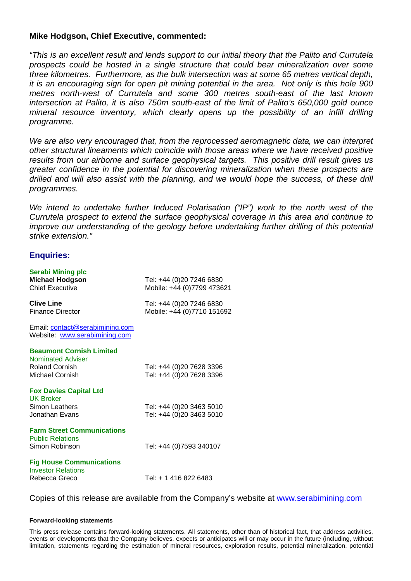## **Mike Hodgson, Chief Executive, commented:**

"This is an excellent result and lends support to our initial theory that the Palito and Currutela prospects could be hosted in a single structure that could bear mineralization over some three kilometres. Furthermore, as the bulk intersection was at some 65 metres vertical depth, it is an encouraging sign for open pit mining potential in the area. Not only is this hole 900 metres north-west of Currutela and some 300 metres south-east of the last known intersection at Palito, it is also 750m south-east of the limit of Palito's 650,000 gold ounce mineral resource inventory, which clearly opens up the possibility of an infill drilling programme.

We are also very encouraged that, from the reprocessed aeromagnetic data, we can interpret other structural lineaments which coincide with those areas where we have received positive results from our airborne and surface geophysical targets. This positive drill result gives us greater confidence in the potential for discovering mineralization when these prospects are drilled and will also assist with the planning, and we would hope the success, of these drill programmes.

We intend to undertake further Induced Polarisation ("IP") work to the north west of the Currutela prospect to extend the surface geophysical coverage in this area and continue to improve our understanding of the geology before undertaking further drilling of this potential strike extension."

## **Enquiries:**

| <b>Serabi Mining plc</b><br><b>Michael Hodgson</b><br><b>Chief Executive</b>                            | Tel: +44 (0)20 7246 6830<br>Mobile: +44 (0)7799 473621 |
|---------------------------------------------------------------------------------------------------------|--------------------------------------------------------|
| <b>Clive Line</b><br><b>Finance Director</b>                                                            | Tel: +44 (0)20 7246 6830<br>Mobile: +44 (0)7710 151692 |
| Email: contact@serabimining.com<br>Website: www.serabimining.com                                        |                                                        |
| <b>Beaumont Cornish Limited</b><br><b>Nominated Adviser</b><br><b>Roland Cornish</b><br>Michael Cornish | Tel: +44 (0)20 7628 3396<br>Tel: +44 (0)20 7628 3396   |
| <b>Fox Davies Capital Ltd</b><br><b>UK Broker</b><br>Simon Leathers<br>Jonathan Evans                   | Tel: +44 (0)20 3463 5010<br>Tel: +44 (0)20 3463 5010   |
| <b>Farm Street Communications</b><br><b>Public Relations</b><br>Simon Robinson                          | Tel: +44 (0)7593 340107                                |
| <b>Fig House Communications</b><br><b>Investor Relations</b><br>Rebecca Greco                           | Tel: + 1 416 822 6483                                  |

Copies of this release are available from the Company's website at www.serabimining.com

### **Forward-looking statements**

This press release contains forward-looking statements. All statements, other than of historical fact, that address activities, events or developments that the Company believes, expects or anticipates will or may occur in the future (including, without limitation, statements regarding the estimation of mineral resources, exploration results, potential mineralization, potential